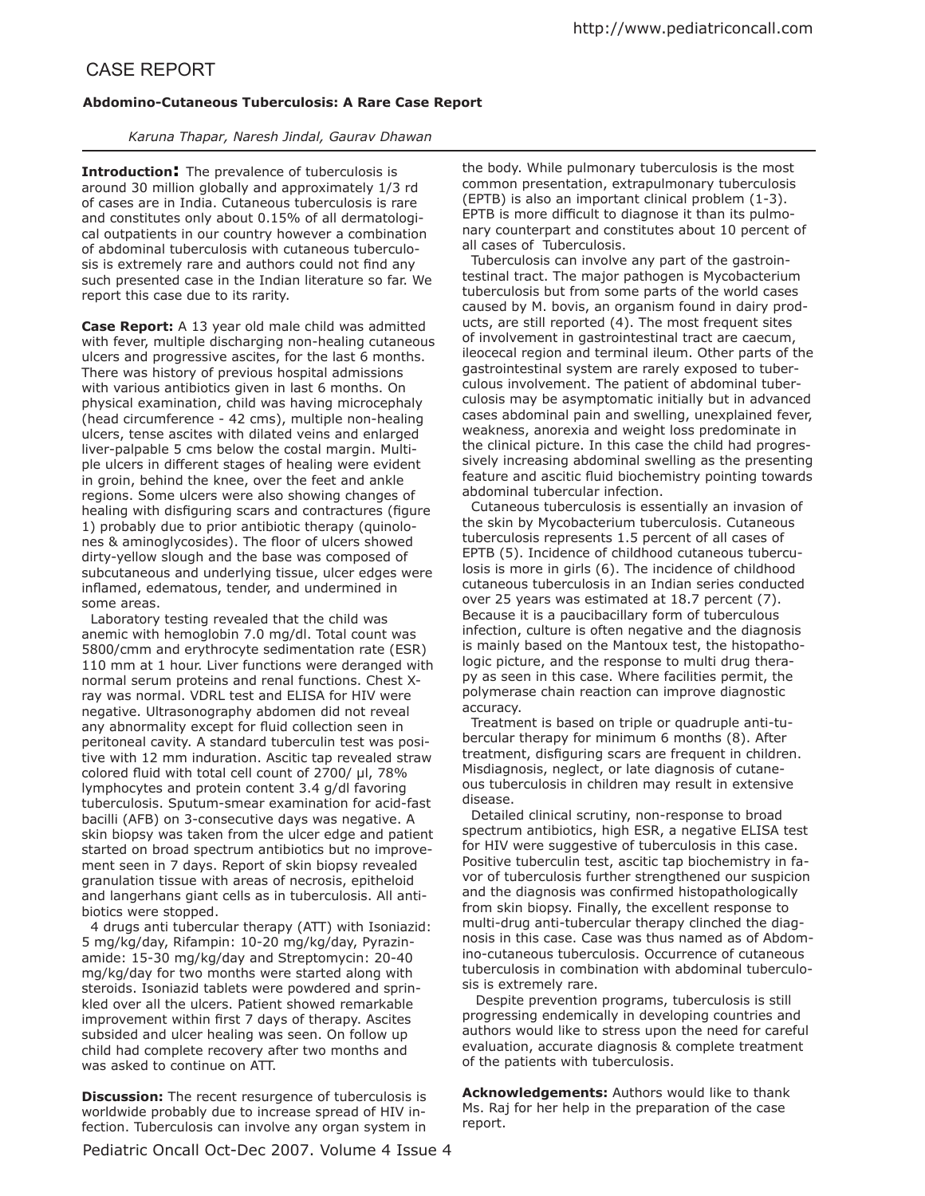# CASE REPORT

## **Abdomino-Cutaneous Tuberculosis: A Rare Case Report**

*Karuna Thapar, Naresh Jindal, Gaurav Dhawan*

**Introduction:** The prevalence of tuberculosis is around 30 million globally and approximately 1/3 rd of cases are in India. Cutaneous tuberculosis is rare and constitutes only about 0.15% of all dermatological outpatients in our country however a combination of abdominal tuberculosis with cutaneous tuberculosis is extremely rare and authors could not find any such presented case in the Indian literature so far. We report this case due to its rarity.

**Case Report:** A 13 year old male child was admitted with fever, multiple discharging non-healing cutaneous ulcers and progressive ascites, for the last 6 months. There was history of previous hospital admissions with various antibiotics given in last 6 months. On physical examination, child was having microcephaly (head circumference - 42 cms), multiple non-healing ulcers, tense ascites with dilated veins and enlarged liver-palpable 5 cms below the costal margin. Multiple ulcers in diferent stages of healing were evident in groin, behind the knee, over the feet and ankle regions. Some ulcers were also showing changes of healing with disfiguring scars and contractures (figure 1) probably due to prior antibiotic therapy (quinolones & aminoglycosides). The floor of ulcers showed dirty-yellow slough and the base was composed of subcutaneous and underlying tissue, ulcer edges were inflamed, edematous, tender, and undermined in some areas.

 Laboratory testing revealed that the child was anemic with hemoglobin 7.0 mg/dl. Total count was 5800/cmm and erythrocyte sedimentation rate (ESR) 110 mm at 1 hour. Liver functions were deranged with normal serum proteins and renal functions. Chest Xray was normal. VDRL test and ELISA for HIV were negative. Ultrasonography abdomen did not reveal any abnormality except for fluid collection seen in peritoneal cavity. A standard tuberculin test was positive with 12 mm induration. Ascitic tap revealed straw colored fluid with total cell count of  $2700/$  µl,  $78%$ lymphocytes and protein content 3.4 g/dl favoring tuberculosis. Sputum-smear examination for acid-fast bacilli (AFB) on 3-consecutive days was negative. A skin biopsy was taken from the ulcer edge and patient started on broad spectrum antibiotics but no improvement seen in 7 days. Report of skin biopsy revealed granulation tissue with areas of necrosis, epitheloid and langerhans giant cells as in tuberculosis. All antibiotics were stopped.

 4 drugs anti tubercular therapy (ATT) with Isoniazid: 5 mg/kg/day, Rifampin: 10-20 mg/kg/day, Pyrazinamide: 15-30 mg/kg/day and Streptomycin: 20-40 mg/kg/day for two months were started along with steroids. Isoniazid tablets were powdered and sprinkled over all the ulcers. Patient showed remarkable improvement within first 7 days of therapy. Ascites subsided and ulcer healing was seen. On follow up child had complete recovery after two months and was asked to continue on ATT.

**Discussion:** The recent resurgence of tuberculosis is worldwide probably due to increase spread of HIV infection. Tuberculosis can involve any organ system in the body. While pulmonary tuberculosis is the most common presentation, extrapulmonary tuberculosis (EPTB) is also an important clinical problem (1-3). EPTB is more difficult to diagnose it than its pulmonary counterpart and constitutes about 10 percent of all cases of Tuberculosis.

 Tuberculosis can involve any part of the gastrointestinal tract. The major pathogen is Mycobacterium tuberculosis but from some parts of the world cases caused by M. bovis, an organism found in dairy products, are still reported (4). The most frequent sites of involvement in gastrointestinal tract are caecum, ileocecal region and terminal ileum. Other parts of the gastrointestinal system are rarely exposed to tuberculous involvement. The patient of abdominal tuberculosis may be asymptomatic initially but in advanced cases abdominal pain and swelling, unexplained fever, weakness, anorexia and weight loss predominate in the clinical picture. In this case the child had progressively increasing abdominal swelling as the presenting feature and ascitic fluid biochemistry pointing towards abdominal tubercular infection.

 Cutaneous tuberculosis is essentially an invasion of the skin by Mycobacterium tuberculosis. Cutaneous tuberculosis represents 1.5 percent of all cases of EPTB (5). Incidence of childhood cutaneous tuberculosis is more in girls (6). The incidence of childhood cutaneous tuberculosis in an Indian series conducted over 25 years was estimated at 18.7 percent (7). Because it is a paucibacillary form of tuberculous infection, culture is often negative and the diagnosis is mainly based on the Mantoux test, the histopathologic picture, and the response to multi drug therapy as seen in this case. Where facilities permit, the polymerase chain reaction can improve diagnostic accuracy.

 Treatment is based on triple or quadruple anti-tubercular therapy for minimum 6 months (8). After treatment, disfiguring scars are frequent in children. Misdiagnosis, neglect, or late diagnosis of cutaneous tuberculosis in children may result in extensive disease.

 Detailed clinical scrutiny, non-response to broad spectrum antibiotics, high ESR, a negative ELISA test for HIV were suggestive of tuberculosis in this case. Positive tuberculin test, ascitic tap biochemistry in favor of tuberculosis further strengthened our suspicion and the diagnosis was confirmed histopathologically from skin biopsy. Finally, the excellent response to multi-drug anti-tubercular therapy clinched the diagnosis in this case. Case was thus named as of Abdomino-cutaneous tuberculosis. Occurrence of cutaneous tuberculosis in combination with abdominal tuberculosis is extremely rare.

 Despite prevention programs, tuberculosis is still progressing endemically in developing countries and authors would like to stress upon the need for careful evaluation, accurate diagnosis & complete treatment of the patients with tuberculosis.

**Acknowledgements:** Authors would like to thank Ms. Raj for her help in the preparation of the case report.